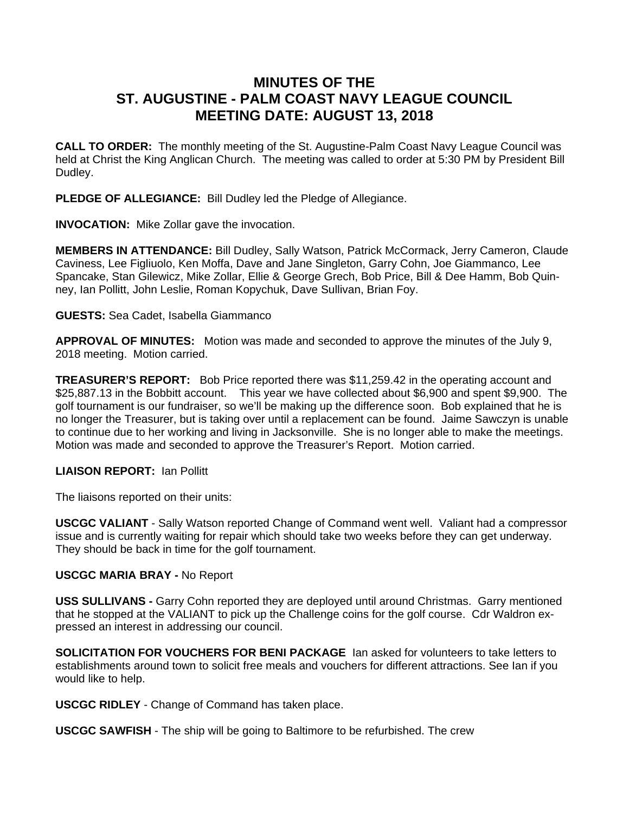# **MINUTES OF THE ST. AUGUSTINE - PALM COAST NAVY LEAGUE COUNCIL MEETING DATE: AUGUST 13, 2018**

**CALL TO ORDER:** The monthly meeting of the St. Augustine-Palm Coast Navy League Council was held at Christ the King Anglican Church. The meeting was called to order at 5:30 PM by President Bill Dudley.

**PLEDGE OF ALLEGIANCE:** Bill Dudley led the Pledge of Allegiance.

**INVOCATION:** Mike Zollar gave the invocation.

**MEMBERS IN ATTENDANCE:** Bill Dudley, Sally Watson, Patrick McCormack, Jerry Cameron, Claude Caviness, Lee Figliuolo, Ken Moffa, Dave and Jane Singleton, Garry Cohn, Joe Giammanco, Lee Spancake, Stan Gilewicz, Mike Zollar, Ellie & George Grech, Bob Price, Bill & Dee Hamm, Bob Quinney, Ian Pollitt, John Leslie, Roman Kopychuk, Dave Sullivan, Brian Foy.

## **GUESTS:** Sea Cadet, Isabella Giammanco

**APPROVAL OF MINUTES:** Motion was made and seconded to approve the minutes of the July 9, 2018 meeting. Motion carried.

**TREASURER'S REPORT:** Bob Price reported there was \$11,259.42 in the operating account and \$25,887.13 in the Bobbitt account. This year we have collected about \$6,900 and spent \$9,900. The golf tournament is our fundraiser, so we'll be making up the difference soon. Bob explained that he is no longer the Treasurer, but is taking over until a replacement can be found. Jaime Sawczyn is unable to continue due to her working and living in Jacksonville. She is no longer able to make the meetings. Motion was made and seconded to approve the Treasurer's Report. Motion carried.

# **LIAISON REPORT:** Ian Pollitt

The liaisons reported on their units:

**USCGC VALIANT** - Sally Watson reported Change of Command went well. Valiant had a compressor issue and is currently waiting for repair which should take two weeks before they can get underway. They should be back in time for the golf tournament.

# **USCGC MARIA BRAY -** No Report

**USS SULLIVANS -** Garry Cohn reported they are deployed until around Christmas. Garry mentioned that he stopped at the VALIANT to pick up the Challenge coins for the golf course. Cdr Waldron expressed an interest in addressing our council.

**SOLICITATION FOR VOUCHERS FOR BENI PACKAGE** Ian asked for volunteers to take letters to establishments around town to solicit free meals and vouchers for different attractions. See Ian if you would like to help.

**USCGC RIDLEY** - Change of Command has taken place.

**USCGC SAWFISH** - The ship will be going to Baltimore to be refurbished. The crew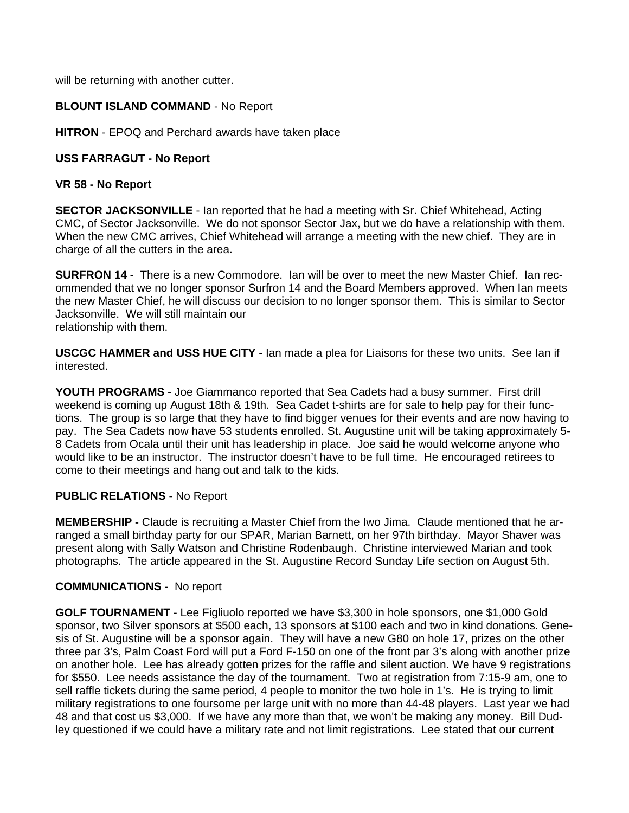will be returning with another cutter.

# **BLOUNT ISLAND COMMAND** - No Report

**HITRON** - EPOQ and Perchard awards have taken place

## **USS FARRAGUT - No Report**

### **VR 58 - No Report**

**SECTOR JACKSONVILLE** - Ian reported that he had a meeting with Sr. Chief Whitehead, Acting CMC, of Sector Jacksonville. We do not sponsor Sector Jax, but we do have a relationship with them. When the new CMC arrives, Chief Whitehead will arrange a meeting with the new chief. They are in charge of all the cutters in the area.

**SURFRON 14 -** There is a new Commodore. Ian will be over to meet the new Master Chief. Ian recommended that we no longer sponsor Surfron 14 and the Board Members approved. When Ian meets the new Master Chief, he will discuss our decision to no longer sponsor them. This is similar to Sector Jacksonville. We will still maintain our relationship with them.

**USCGC HAMMER and USS HUE CITY** - Ian made a plea for Liaisons for these two units. See Ian if interested.

**YOUTH PROGRAMS -** Joe Giammanco reported that Sea Cadets had a busy summer. First drill weekend is coming up August 18th & 19th. Sea Cadet t-shirts are for sale to help pay for their functions. The group is so large that they have to find bigger venues for their events and are now having to pay. The Sea Cadets now have 53 students enrolled. St. Augustine unit will be taking approximately 5- 8 Cadets from Ocala until their unit has leadership in place. Joe said he would welcome anyone who would like to be an instructor. The instructor doesn't have to be full time. He encouraged retirees to come to their meetings and hang out and talk to the kids.

#### **PUBLIC RELATIONS** - No Report

**MEMBERSHIP -** Claude is recruiting a Master Chief from the Iwo Jima. Claude mentioned that he arranged a small birthday party for our SPAR, Marian Barnett, on her 97th birthday. Mayor Shaver was present along with Sally Watson and Christine Rodenbaugh. Christine interviewed Marian and took photographs. The article appeared in the St. Augustine Record Sunday Life section on August 5th.

#### **COMMUNICATIONS** - No report

**GOLF TOURNAMENT** - Lee Figliuolo reported we have \$3,300 in hole sponsors, one \$1,000 Gold sponsor, two Silver sponsors at \$500 each, 13 sponsors at \$100 each and two in kind donations. Genesis of St. Augustine will be a sponsor again. They will have a new G80 on hole 17, prizes on the other three par 3's, Palm Coast Ford will put a Ford F-150 on one of the front par 3's along with another prize on another hole. Lee has already gotten prizes for the raffle and silent auction. We have 9 registrations for \$550. Lee needs assistance the day of the tournament. Two at registration from 7:15-9 am, one to sell raffle tickets during the same period, 4 people to monitor the two hole in 1's. He is trying to limit military registrations to one foursome per large unit with no more than 44-48 players. Last year we had 48 and that cost us \$3,000. If we have any more than that, we won't be making any money. Bill Dudley questioned if we could have a military rate and not limit registrations. Lee stated that our current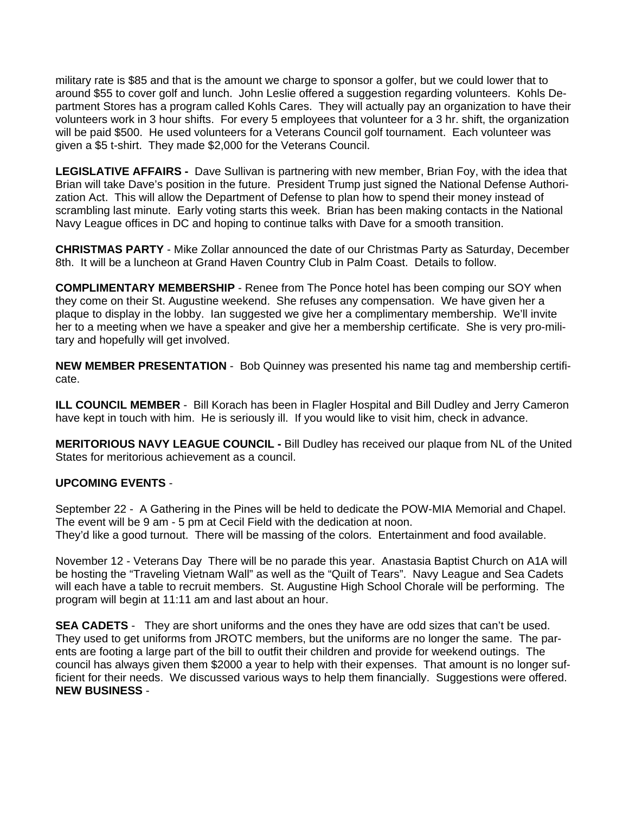military rate is \$85 and that is the amount we charge to sponsor a golfer, but we could lower that to around \$55 to cover golf and lunch. John Leslie offered a suggestion regarding volunteers. Kohls Department Stores has a program called Kohls Cares. They will actually pay an organization to have their volunteers work in 3 hour shifts. For every 5 employees that volunteer for a 3 hr. shift, the organization will be paid \$500. He used volunteers for a Veterans Council golf tournament. Each volunteer was given a \$5 t-shirt. They made \$2,000 for the Veterans Council.

**LEGISLATIVE AFFAIRS -** Dave Sullivan is partnering with new member, Brian Foy, with the idea that Brian will take Dave's position in the future. President Trump just signed the National Defense Authorization Act. This will allow the Department of Defense to plan how to spend their money instead of scrambling last minute. Early voting starts this week. Brian has been making contacts in the National Navy League offices in DC and hoping to continue talks with Dave for a smooth transition.

**CHRISTMAS PARTY** - Mike Zollar announced the date of our Christmas Party as Saturday, December 8th. It will be a luncheon at Grand Haven Country Club in Palm Coast. Details to follow.

**COMPLIMENTARY MEMBERSHIP** - Renee from The Ponce hotel has been comping our SOY when they come on their St. Augustine weekend. She refuses any compensation. We have given her a plaque to display in the lobby. Ian suggested we give her a complimentary membership. We'll invite her to a meeting when we have a speaker and give her a membership certificate. She is very pro-military and hopefully will get involved.

**NEW MEMBER PRESENTATION** - Bob Quinney was presented his name tag and membership certificate.

**ILL COUNCIL MEMBER** - Bill Korach has been in Flagler Hospital and Bill Dudley and Jerry Cameron have kept in touch with him. He is seriously ill. If you would like to visit him, check in advance.

**MERITORIOUS NAVY LEAGUE COUNCIL -** Bill Dudley has received our plaque from NL of the United States for meritorious achievement as a council.

# **UPCOMING EVENTS** -

September 22 - A Gathering in the Pines will be held to dedicate the POW-MIA Memorial and Chapel. The event will be 9 am - 5 pm at Cecil Field with the dedication at noon. They'd like a good turnout. There will be massing of the colors. Entertainment and food available.

November 12 - Veterans Day There will be no parade this year. Anastasia Baptist Church on A1A will be hosting the "Traveling Vietnam Wall" as well as the "Quilt of Tears". Navy League and Sea Cadets will each have a table to recruit members. St. Augustine High School Chorale will be performing. The program will begin at 11:11 am and last about an hour.

**SEA CADETS** - They are short uniforms and the ones they have are odd sizes that can't be used. They used to get uniforms from JROTC members, but the uniforms are no longer the same. The parents are footing a large part of the bill to outfit their children and provide for weekend outings. The council has always given them \$2000 a year to help with their expenses. That amount is no longer sufficient for their needs. We discussed various ways to help them financially. Suggestions were offered. **NEW BUSINESS** -